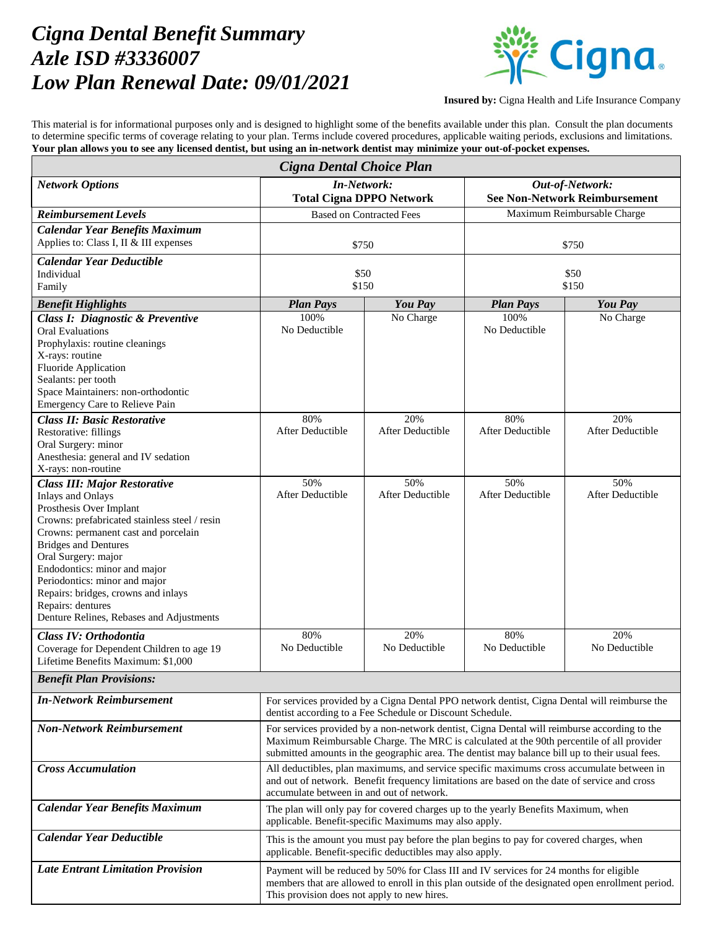## *Cigna Dental Benefit Summary Azle ISD #3336007 Low Plan Renewal Date: 09/01/2021*



**Insured by:** Cigna Health and Life Insurance Company

This material is for informational purposes only and is designed to highlight some of the benefits available under this plan. Consult the plan documents to determine specific terms of coverage relating to your plan. Terms include covered procedures, applicable waiting periods, exclusions and limitations. **Your plan allows you to see any licensed dentist, but using an in-network dentist may minimize your out-of-pocket expenses.**

| Cigna Dental Choice Plan                                                                                                                                                                                                                                                                                                                                                                                           |                                                                                                                                                                                                                                                                                             |                                |                                                         |                                |  |
|--------------------------------------------------------------------------------------------------------------------------------------------------------------------------------------------------------------------------------------------------------------------------------------------------------------------------------------------------------------------------------------------------------------------|---------------------------------------------------------------------------------------------------------------------------------------------------------------------------------------------------------------------------------------------------------------------------------------------|--------------------------------|---------------------------------------------------------|--------------------------------|--|
| <b>Network Options</b>                                                                                                                                                                                                                                                                                                                                                                                             | <b>In-Network:</b><br><b>Total Cigna DPPO Network</b>                                                                                                                                                                                                                                       |                                | Out-of-Network:<br><b>See Non-Network Reimbursement</b> |                                |  |
| <b>Reimbursement Levels</b>                                                                                                                                                                                                                                                                                                                                                                                        | <b>Based on Contracted Fees</b>                                                                                                                                                                                                                                                             |                                | Maximum Reimbursable Charge                             |                                |  |
| <b>Calendar Year Benefits Maximum</b>                                                                                                                                                                                                                                                                                                                                                                              |                                                                                                                                                                                                                                                                                             |                                |                                                         |                                |  |
| Applies to: Class I, II & III expenses                                                                                                                                                                                                                                                                                                                                                                             | \$750                                                                                                                                                                                                                                                                                       |                                | \$750                                                   |                                |  |
| <b>Calendar Year Deductible</b>                                                                                                                                                                                                                                                                                                                                                                                    |                                                                                                                                                                                                                                                                                             |                                |                                                         |                                |  |
| Individual<br>Family                                                                                                                                                                                                                                                                                                                                                                                               | \$50<br>\$150                                                                                                                                                                                                                                                                               |                                | \$50<br>\$150                                           |                                |  |
|                                                                                                                                                                                                                                                                                                                                                                                                                    | <b>Plan Pays</b>                                                                                                                                                                                                                                                                            | <b>You Pay</b>                 | <b>Plan Pays</b>                                        | You Pay                        |  |
| <b>Benefit Highlights</b><br><b>Class I: Diagnostic &amp; Preventive</b>                                                                                                                                                                                                                                                                                                                                           | 100%                                                                                                                                                                                                                                                                                        | No Charge                      | 100%                                                    | No Charge                      |  |
| <b>Oral Evaluations</b><br>Prophylaxis: routine cleanings<br>X-rays: routine<br><b>Fluoride Application</b><br>Sealants: per tooth<br>Space Maintainers: non-orthodontic<br>Emergency Care to Relieve Pain                                                                                                                                                                                                         | No Deductible                                                                                                                                                                                                                                                                               |                                | No Deductible                                           |                                |  |
| <b>Class II: Basic Restorative</b><br>Restorative: fillings<br>Oral Surgery: minor<br>Anesthesia: general and IV sedation<br>X-rays: non-routine                                                                                                                                                                                                                                                                   | 80%<br><b>After Deductible</b>                                                                                                                                                                                                                                                              | 20%<br><b>After Deductible</b> | 80%<br><b>After Deductible</b>                          | 20%<br><b>After Deductible</b> |  |
| <b>Class III: Major Restorative</b><br><b>Inlays and Onlays</b><br>Prosthesis Over Implant<br>Crowns: prefabricated stainless steel / resin<br>Crowns: permanent cast and porcelain<br><b>Bridges and Dentures</b><br>Oral Surgery: major<br>Endodontics: minor and major<br>Periodontics: minor and major<br>Repairs: bridges, crowns and inlays<br>Repairs: dentures<br>Denture Relines, Rebases and Adjustments | 50%<br><b>After Deductible</b>                                                                                                                                                                                                                                                              | 50%<br>After Deductible        | 50%<br><b>After Deductible</b>                          | 50%<br><b>After Deductible</b> |  |
| Class IV: Orthodontia<br>Coverage for Dependent Children to age 19<br>Lifetime Benefits Maximum: \$1,000                                                                                                                                                                                                                                                                                                           | 80%<br>No Deductible                                                                                                                                                                                                                                                                        | 20%<br>No Deductible           | 80%<br>No Deductible                                    | 20%<br>No Deductible           |  |
| <b>Benefit Plan Provisions:</b>                                                                                                                                                                                                                                                                                                                                                                                    |                                                                                                                                                                                                                                                                                             |                                |                                                         |                                |  |
| <b>In-Network Reimbursement</b>                                                                                                                                                                                                                                                                                                                                                                                    | For services provided by a Cigna Dental PPO network dentist, Cigna Dental will reimburse the<br>dentist according to a Fee Schedule or Discount Schedule.                                                                                                                                   |                                |                                                         |                                |  |
| <b>Non-Network Reimbursement</b>                                                                                                                                                                                                                                                                                                                                                                                   | For services provided by a non-network dentist, Cigna Dental will reimburse according to the<br>Maximum Reimbursable Charge. The MRC is calculated at the 90th percentile of all provider<br>submitted amounts in the geographic area. The dentist may balance bill up to their usual fees. |                                |                                                         |                                |  |
| <b>Cross Accumulation</b>                                                                                                                                                                                                                                                                                                                                                                                          | All deductibles, plan maximums, and service specific maximums cross accumulate between in<br>and out of network. Benefit frequency limitations are based on the date of service and cross<br>accumulate between in and out of network.                                                      |                                |                                                         |                                |  |
| <b>Calendar Year Benefits Maximum</b>                                                                                                                                                                                                                                                                                                                                                                              | The plan will only pay for covered charges up to the yearly Benefits Maximum, when<br>applicable. Benefit-specific Maximums may also apply.                                                                                                                                                 |                                |                                                         |                                |  |
| <b>Calendar Year Deductible</b>                                                                                                                                                                                                                                                                                                                                                                                    | This is the amount you must pay before the plan begins to pay for covered charges, when<br>applicable. Benefit-specific deductibles may also apply.                                                                                                                                         |                                |                                                         |                                |  |
| <b>Late Entrant Limitation Provision</b>                                                                                                                                                                                                                                                                                                                                                                           | Payment will be reduced by 50% for Class III and IV services for 24 months for eligible<br>members that are allowed to enroll in this plan outside of the designated open enrollment period.<br>This provision does not apply to new hires.                                                 |                                |                                                         |                                |  |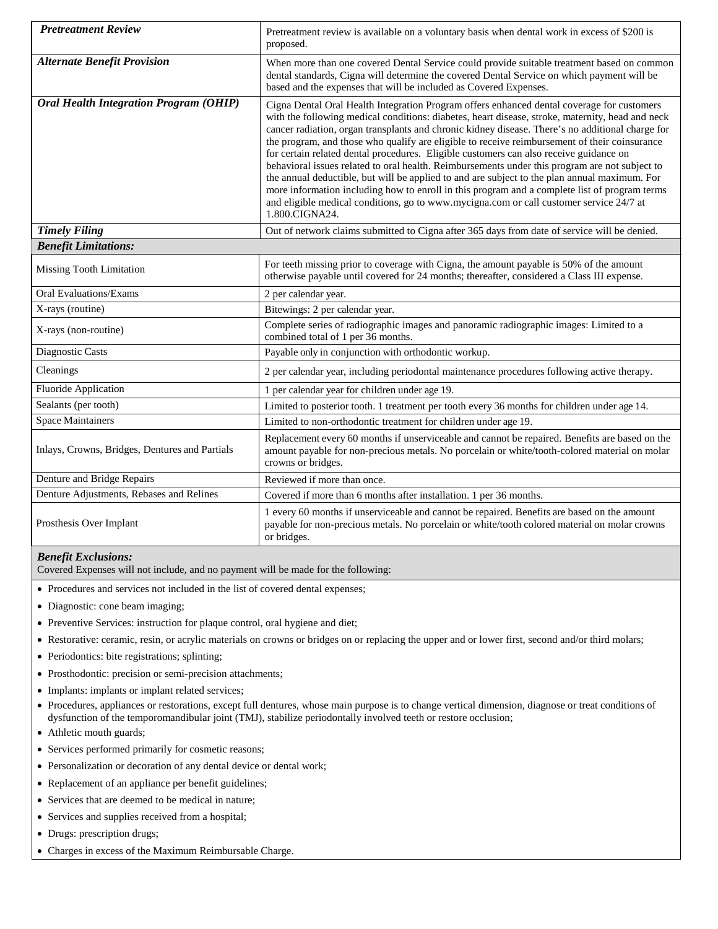| <b>Pretreatment Review</b>                          | Pretreatment review is available on a voluntary basis when dental work in excess of \$200 is<br>proposed.                                                                                                                                                                                                                                                                                                                                                                                                                                                                                                                                                                                                                                                                                                                                                                                                      |  |
|-----------------------------------------------------|----------------------------------------------------------------------------------------------------------------------------------------------------------------------------------------------------------------------------------------------------------------------------------------------------------------------------------------------------------------------------------------------------------------------------------------------------------------------------------------------------------------------------------------------------------------------------------------------------------------------------------------------------------------------------------------------------------------------------------------------------------------------------------------------------------------------------------------------------------------------------------------------------------------|--|
| <b>Alternate Benefit Provision</b>                  | When more than one covered Dental Service could provide suitable treatment based on common<br>dental standards, Cigna will determine the covered Dental Service on which payment will be<br>based and the expenses that will be included as Covered Expenses.                                                                                                                                                                                                                                                                                                                                                                                                                                                                                                                                                                                                                                                  |  |
| <b>Oral Health Integration Program (OHIP)</b>       | Cigna Dental Oral Health Integration Program offers enhanced dental coverage for customers<br>with the following medical conditions: diabetes, heart disease, stroke, maternity, head and neck<br>cancer radiation, organ transplants and chronic kidney disease. There's no additional charge for<br>the program, and those who qualify are eligible to receive reimbursement of their coinsurance<br>for certain related dental procedures. Eligible customers can also receive guidance on<br>behavioral issues related to oral health. Reimbursements under this program are not subject to<br>the annual deductible, but will be applied to and are subject to the plan annual maximum. For<br>more information including how to enroll in this program and a complete list of program terms<br>and eligible medical conditions, go to www.mycigna.com or call customer service 24/7 at<br>1.800.CIGNA24. |  |
| <b>Timely Filing</b><br><b>Benefit Limitations:</b> | Out of network claims submitted to Cigna after 365 days from date of service will be denied.                                                                                                                                                                                                                                                                                                                                                                                                                                                                                                                                                                                                                                                                                                                                                                                                                   |  |
|                                                     |                                                                                                                                                                                                                                                                                                                                                                                                                                                                                                                                                                                                                                                                                                                                                                                                                                                                                                                |  |
| <b>Missing Tooth Limitation</b>                     | For teeth missing prior to coverage with Cigna, the amount payable is 50% of the amount<br>otherwise payable until covered for 24 months; thereafter, considered a Class III expense.                                                                                                                                                                                                                                                                                                                                                                                                                                                                                                                                                                                                                                                                                                                          |  |
| <b>Oral Evaluations/Exams</b>                       | 2 per calendar year.                                                                                                                                                                                                                                                                                                                                                                                                                                                                                                                                                                                                                                                                                                                                                                                                                                                                                           |  |
| X-rays (routine)                                    | Bitewings: 2 per calendar year.                                                                                                                                                                                                                                                                                                                                                                                                                                                                                                                                                                                                                                                                                                                                                                                                                                                                                |  |
| X-rays (non-routine)                                | Complete series of radiographic images and panoramic radiographic images: Limited to a<br>combined total of 1 per 36 months.                                                                                                                                                                                                                                                                                                                                                                                                                                                                                                                                                                                                                                                                                                                                                                                   |  |
| Diagnostic Casts                                    | Payable only in conjunction with orthodontic workup.                                                                                                                                                                                                                                                                                                                                                                                                                                                                                                                                                                                                                                                                                                                                                                                                                                                           |  |
| Cleanings                                           | 2 per calendar year, including periodontal maintenance procedures following active therapy.                                                                                                                                                                                                                                                                                                                                                                                                                                                                                                                                                                                                                                                                                                                                                                                                                    |  |
| <b>Fluoride Application</b>                         | 1 per calendar year for children under age 19.                                                                                                                                                                                                                                                                                                                                                                                                                                                                                                                                                                                                                                                                                                                                                                                                                                                                 |  |
| Sealants (per tooth)                                | Limited to posterior tooth. 1 treatment per tooth every 36 months for children under age 14.                                                                                                                                                                                                                                                                                                                                                                                                                                                                                                                                                                                                                                                                                                                                                                                                                   |  |
| <b>Space Maintainers</b>                            | Limited to non-orthodontic treatment for children under age 19.                                                                                                                                                                                                                                                                                                                                                                                                                                                                                                                                                                                                                                                                                                                                                                                                                                                |  |
| Inlays, Crowns, Bridges, Dentures and Partials      | Replacement every 60 months if unserviceable and cannot be repaired. Benefits are based on the<br>amount payable for non-precious metals. No porcelain or white/tooth-colored material on molar<br>crowns or bridges.                                                                                                                                                                                                                                                                                                                                                                                                                                                                                                                                                                                                                                                                                          |  |
| Denture and Bridge Repairs                          | Reviewed if more than once.                                                                                                                                                                                                                                                                                                                                                                                                                                                                                                                                                                                                                                                                                                                                                                                                                                                                                    |  |
| Denture Adjustments, Rebases and Relines            | Covered if more than 6 months after installation. 1 per 36 months.                                                                                                                                                                                                                                                                                                                                                                                                                                                                                                                                                                                                                                                                                                                                                                                                                                             |  |
| Prosthesis Over Implant                             | 1 every 60 months if unserviceable and cannot be repaired. Benefits are based on the amount<br>payable for non-precious metals. No porcelain or white/tooth colored material on molar crowns<br>or bridges.                                                                                                                                                                                                                                                                                                                                                                                                                                                                                                                                                                                                                                                                                                    |  |

## *Benefit Exclusions:*

Covered Expenses will not include, and no payment will be made for the following:

- Procedures and services not included in the list of covered dental expenses;
- Diagnostic: cone beam imaging;
- Preventive Services: instruction for plaque control, oral hygiene and diet;
- Restorative: ceramic, resin, or acrylic materials on crowns or bridges on or replacing the upper and or lower first, second and/or third molars;
- Periodontics: bite registrations; splinting;
- Prosthodontic: precision or semi-precision attachments;
- Implants: implants or implant related services;
- Procedures, appliances or restorations, except full dentures, whose main purpose is to change vertical dimension, diagnose or treat conditions of dysfunction of the temporomandibular joint (TMJ), stabilize periodontally involved teeth or restore occlusion;
- Athletic mouth guards;
- Services performed primarily for cosmetic reasons;
- Personalization or decoration of any dental device or dental work;
- Replacement of an appliance per benefit guidelines;
- Services that are deemed to be medical in nature;
- Services and supplies received from a hospital;
- Drugs: prescription drugs;
- Charges in excess of the Maximum Reimbursable Charge.